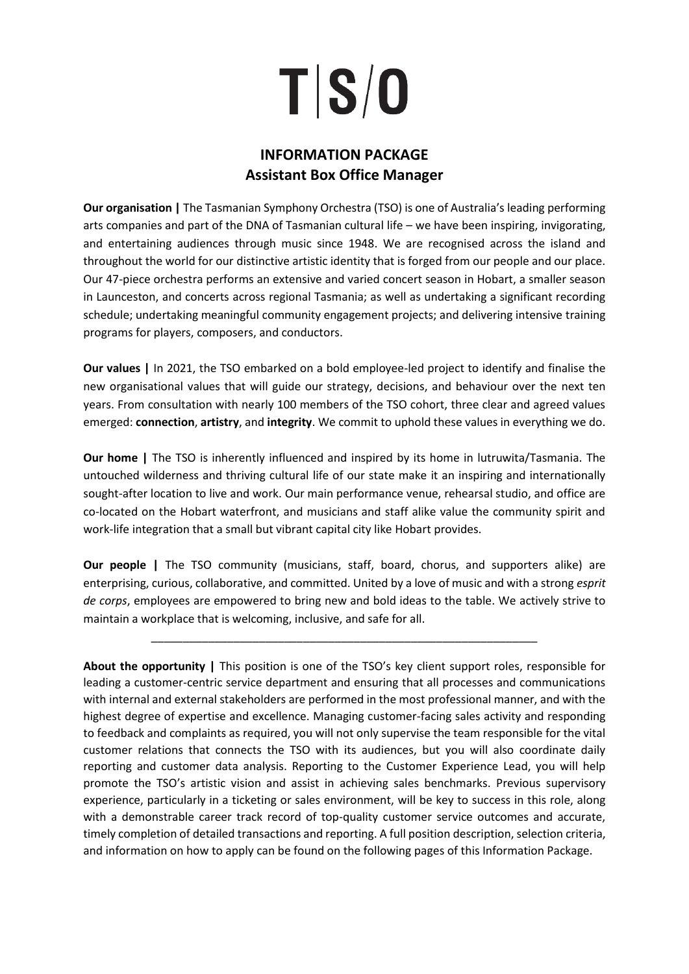# TS/0

# **INFORMATION PACKAGE Assistant Box Office Manager**

**Our organisation |** The Tasmanian Symphony Orchestra (TSO) is one of Australia's leading performing arts companies and part of the DNA of Tasmanian cultural life – we have been inspiring, invigorating, and entertaining audiences through music since 1948. We are recognised across the island and throughout the world for our distinctive artistic identity that is forged from our people and our place. Our 47-piece orchestra performs an extensive and varied concert season in Hobart, a smaller season in Launceston, and concerts across regional Tasmania; as well as undertaking a significant recording schedule; undertaking meaningful community engagement projects; and delivering intensive training programs for players, composers, and conductors.

**Our values |** In 2021, the TSO embarked on a bold employee-led project to identify and finalise the new organisational values that will guide our strategy, decisions, and behaviour over the next ten years. From consultation with nearly 100 members of the TSO cohort, three clear and agreed values emerged: **connection**, **artistry**, and **integrity**. We commit to uphold these values in everything we do.

**Our home |** The TSO is inherently influenced and inspired by its home in lutruwita/Tasmania. The untouched wilderness and thriving cultural life of our state make it an inspiring and internationally sought-after location to live and work. Our main performance venue, rehearsal studio, and office are co-located on the Hobart waterfront, and musicians and staff alike value the community spirit and work-life integration that a small but vibrant capital city like Hobart provides.

**Our people |** The TSO community (musicians, staff, board, chorus, and supporters alike) are enterprising, curious, collaborative, and committed. United by a love of music and with a strong *esprit de corps*, employees are empowered to bring new and bold ideas to the table. We actively strive to maintain a workplace that is welcoming, inclusive, and safe for all.

\_\_\_\_\_\_\_\_\_\_\_\_\_\_\_\_\_\_\_\_\_\_\_\_\_\_\_\_\_\_\_\_\_\_\_\_\_\_\_\_\_\_\_\_\_\_\_\_\_\_\_\_\_\_\_\_\_\_\_\_\_

**About the opportunity |** This position is one of the TSO's key client support roles, responsible for leading a customer-centric service department and ensuring that all processes and communications with internal and external stakeholders are performed in the most professional manner, and with the highest degree of expertise and excellence. Managing customer-facing sales activity and responding to feedback and complaints as required, you will not only supervise the team responsible for the vital customer relations that connects the TSO with its audiences, but you will also coordinate daily reporting and customer data analysis. Reporting to the Customer Experience Lead, you will help promote the TSO's artistic vision and assist in achieving sales benchmarks. Previous supervisory experience, particularly in a ticketing or sales environment, will be key to success in this role, along with a demonstrable career track record of top-quality customer service outcomes and accurate, timely completion of detailed transactions and reporting. A full position description, selection criteria, and information on how to apply can be found on the following pages of this Information Package.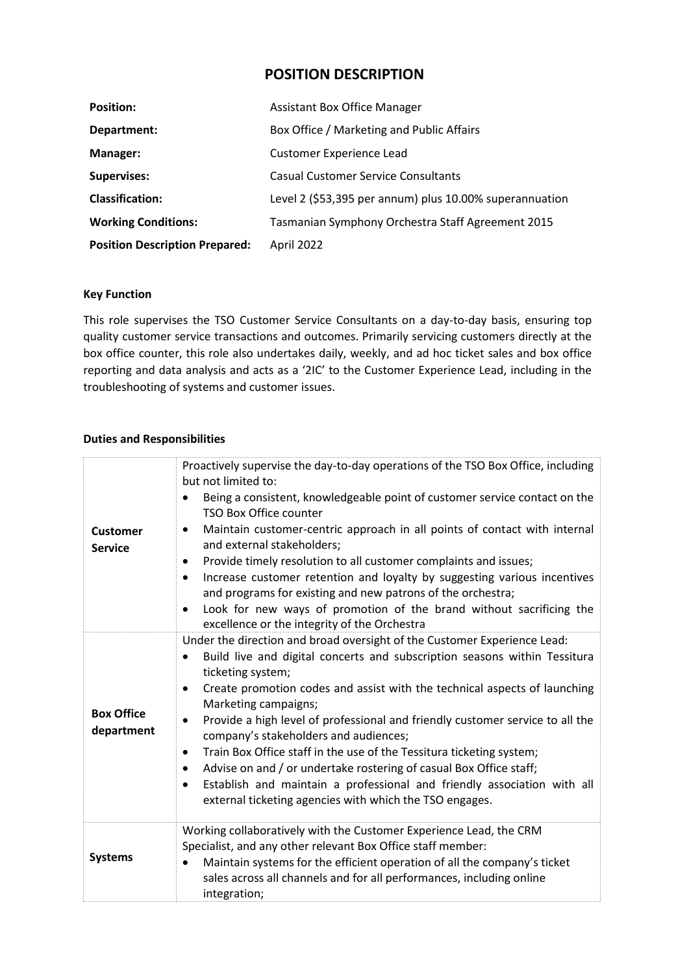# **POSITION DESCRIPTION**

| <b>Position:</b>                      | <b>Assistant Box Office Manager</b>                     |
|---------------------------------------|---------------------------------------------------------|
| Department:                           | Box Office / Marketing and Public Affairs               |
| Manager:                              | <b>Customer Experience Lead</b>                         |
| <b>Supervises:</b>                    | <b>Casual Customer Service Consultants</b>              |
| <b>Classification:</b>                | Level 2 (\$53,395 per annum) plus 10.00% superannuation |
| <b>Working Conditions:</b>            | Tasmanian Symphony Orchestra Staff Agreement 2015       |
| <b>Position Description Prepared:</b> | April 2022                                              |

### **Key Function**

This role supervises the TSO Customer Service Consultants on a day-to-day basis, ensuring top quality customer service transactions and outcomes. Primarily servicing customers directly at the box office counter, this role also undertakes daily, weekly, and ad hoc ticket sales and box office reporting and data analysis and acts as a '2IC' to the Customer Experience Lead, including in the troubleshooting of systems and customer issues.

### **Duties and Responsibilities**

| <b>Customer</b><br><b>Service</b> | Proactively supervise the day-to-day operations of the TSO Box Office, including<br>but not limited to:<br>Being a consistent, knowledgeable point of customer service contact on the<br>TSO Box Office counter                 |
|-----------------------------------|---------------------------------------------------------------------------------------------------------------------------------------------------------------------------------------------------------------------------------|
|                                   | Maintain customer-centric approach in all points of contact with internal<br>٠<br>and external stakeholders;                                                                                                                    |
|                                   | Provide timely resolution to all customer complaints and issues;<br>٠                                                                                                                                                           |
|                                   | Increase customer retention and loyalty by suggesting various incentives<br>$\bullet$<br>and programs for existing and new patrons of the orchestra;                                                                            |
|                                   | Look for new ways of promotion of the brand without sacrificing the<br>$\bullet$<br>excellence or the integrity of the Orchestra                                                                                                |
| <b>Box Office</b><br>department   | Under the direction and broad oversight of the Customer Experience Lead:                                                                                                                                                        |
|                                   | Build live and digital concerts and subscription seasons within Tessitura<br>ticketing system;                                                                                                                                  |
|                                   | Create promotion codes and assist with the technical aspects of launching<br>Marketing campaigns;                                                                                                                               |
|                                   | Provide a high level of professional and friendly customer service to all the<br>$\bullet$<br>company's stakeholders and audiences;                                                                                             |
|                                   | Train Box Office staff in the use of the Tessitura ticketing system;<br>$\bullet$<br>Advise on and / or undertake rostering of casual Box Office staff;<br>٠                                                                    |
|                                   | Establish and maintain a professional and friendly association with all<br>$\bullet$<br>external ticketing agencies with which the TSO engages.                                                                                 |
| <b>Systems</b>                    | Working collaboratively with the Customer Experience Lead, the CRM                                                                                                                                                              |
|                                   | Specialist, and any other relevant Box Office staff member:<br>Maintain systems for the efficient operation of all the company's ticket<br>sales across all channels and for all performances, including online<br>integration; |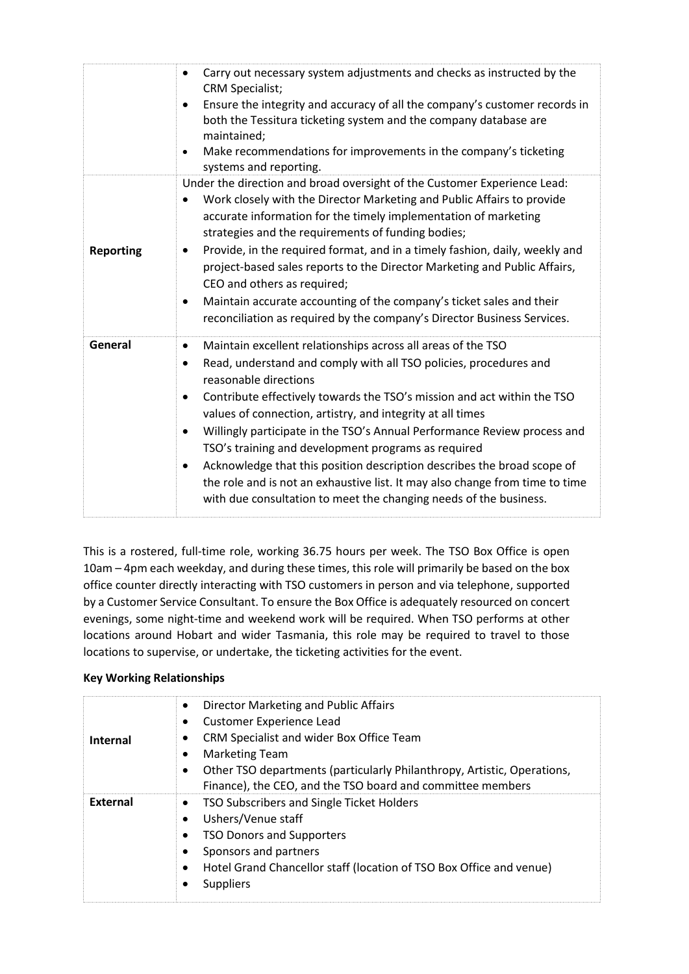|                  | Carry out necessary system adjustments and checks as instructed by the<br>$\bullet$<br><b>CRM Specialist;</b><br>Ensure the integrity and accuracy of all the company's customer records in<br>both the Tessitura ticketing system and the company database are<br>maintained;<br>Make recommendations for improvements in the company's ticketing<br>systems and reporting.                                                                                                                                                                                                                                                                                                                  |
|------------------|-----------------------------------------------------------------------------------------------------------------------------------------------------------------------------------------------------------------------------------------------------------------------------------------------------------------------------------------------------------------------------------------------------------------------------------------------------------------------------------------------------------------------------------------------------------------------------------------------------------------------------------------------------------------------------------------------|
| <b>Reporting</b> | Under the direction and broad oversight of the Customer Experience Lead:<br>Work closely with the Director Marketing and Public Affairs to provide<br>accurate information for the timely implementation of marketing<br>strategies and the requirements of funding bodies;<br>Provide, in the required format, and in a timely fashion, daily, weekly and<br>project-based sales reports to the Director Marketing and Public Affairs,<br>CEO and others as required;<br>Maintain accurate accounting of the company's ticket sales and their<br>٠<br>reconciliation as required by the company's Director Business Services.                                                                |
| General          | Maintain excellent relationships across all areas of the TSO<br>$\bullet$<br>Read, understand and comply with all TSO policies, procedures and<br>reasonable directions<br>Contribute effectively towards the TSO's mission and act within the TSO<br>٠<br>values of connection, artistry, and integrity at all times<br>Willingly participate in the TSO's Annual Performance Review process and<br>TSO's training and development programs as required<br>Acknowledge that this position description describes the broad scope of<br>٠<br>the role and is not an exhaustive list. It may also change from time to time<br>with due consultation to meet the changing needs of the business. |

This is a rostered, full-time role, working 36.75 hours per week. The TSO Box Office is open 10am – 4pm each weekday, and during these times, this role will primarily be based on the box office counter directly interacting with TSO customers in person and via telephone, supported by a Customer Service Consultant. To ensure the Box Office is adequately resourced on concert evenings, some night-time and weekend work will be required. When TSO performs at other locations around Hobart and wider Tasmania, this role may be required to travel to those locations to supervise, or undertake, the ticketing activities for the event.

### **Key Working Relationships**

| <b>Internal</b> | Director Marketing and Public Affairs<br>$\bullet$<br>Customer Experience Lead<br>CRM Specialist and wider Box Office Team<br><b>Marketing Team</b><br>Other TSO departments (particularly Philanthropy, Artistic, Operations,<br>Finance), the CEO, and the TSO board and committee members |
|-----------------|----------------------------------------------------------------------------------------------------------------------------------------------------------------------------------------------------------------------------------------------------------------------------------------------|
| External        | TSO Subscribers and Single Ticket Holders<br>Ushers/Venue staff<br><b>TSO Donors and Supporters</b><br>Sponsors and partners<br>Hotel Grand Chancellor staff (location of TSO Box Office and venue)<br><b>Suppliers</b>                                                                      |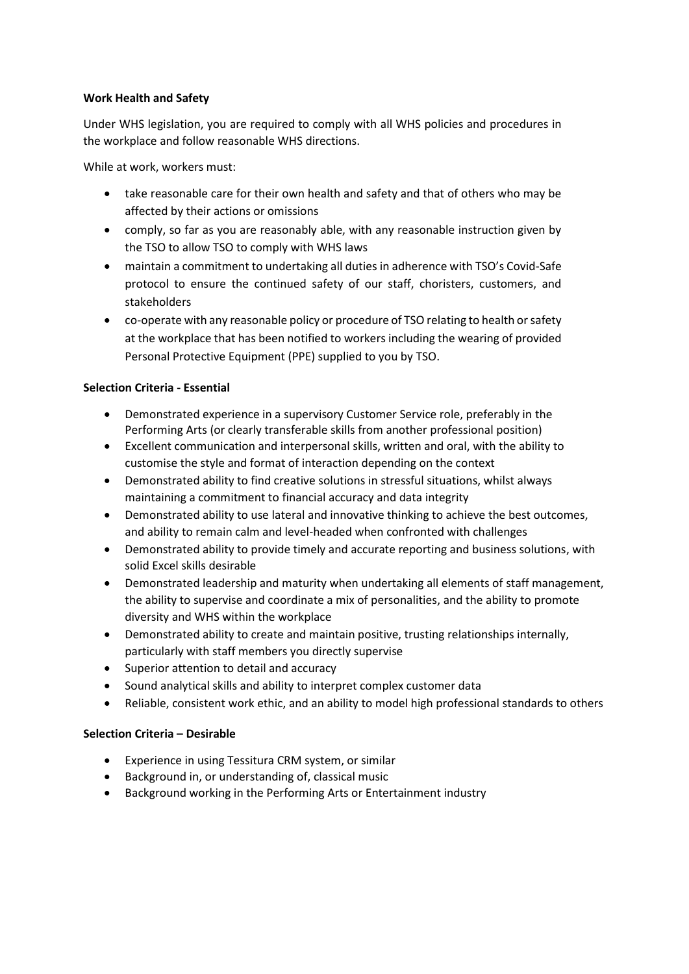### **Work Health and Safety**

Under WHS legislation, you are required to comply with all WHS policies and procedures in the workplace and follow reasonable WHS directions.

While at work, workers must:

- take reasonable care for their own health and safety and that of others who may be affected by their actions or omissions
- comply, so far as you are reasonably able, with any reasonable instruction given by the TSO to allow TSO to comply with WHS laws
- maintain a commitment to undertaking all duties in adherence with TSO's Covid-Safe protocol to ensure the continued safety of our staff, choristers, customers, and stakeholders
- co-operate with any reasonable policy or procedure of TSO relating to health or safety at the workplace that has been notified to workers including the wearing of provided Personal Protective Equipment (PPE) supplied to you by TSO.

### **Selection Criteria - Essential**

- Demonstrated experience in a supervisory Customer Service role, preferably in the Performing Arts (or clearly transferable skills from another professional position)
- Excellent communication and interpersonal skills, written and oral, with the ability to customise the style and format of interaction depending on the context
- Demonstrated ability to find creative solutions in stressful situations, whilst always maintaining a commitment to financial accuracy and data integrity
- Demonstrated ability to use lateral and innovative thinking to achieve the best outcomes, and ability to remain calm and level-headed when confronted with challenges
- Demonstrated ability to provide timely and accurate reporting and business solutions, with solid Excel skills desirable
- Demonstrated leadership and maturity when undertaking all elements of staff management, the ability to supervise and coordinate a mix of personalities, and the ability to promote diversity and WHS within the workplace
- Demonstrated ability to create and maintain positive, trusting relationships internally, particularly with staff members you directly supervise
- Superior attention to detail and accuracy
- Sound analytical skills and ability to interpret complex customer data
- Reliable, consistent work ethic, and an ability to model high professional standards to others

### **Selection Criteria – Desirable**

- Experience in using Tessitura CRM system, or similar
- Background in, or understanding of, classical music
- Background working in the Performing Arts or Entertainment industry